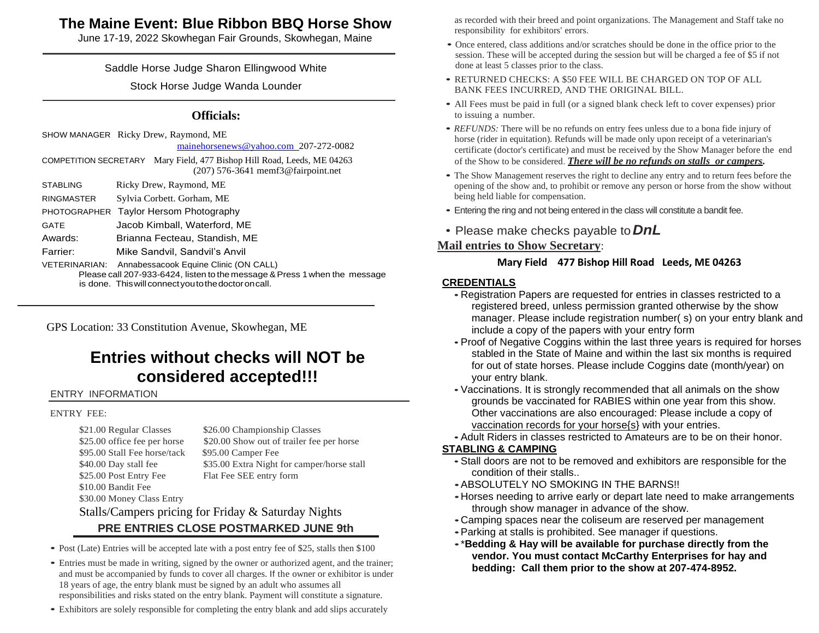## **The Maine Event: Blue Ribbon BBQ Horse Show**

June 17-19, 2022 Skowhegan Fair Grounds, Skowhegan, Maine

#### Saddle Horse Judge Sharon Ellingwood White

Stock Horse Judge Wanda Lounder

#### **Officials:**

SHOW MANAGER Ricky Drew, Raymond, ME

[mainehorsenews@yahoo.com](mailto:mainehorsenews@yahoo.com) 207-272-0082

COMPETITION SECRETARY Mary Field, 477 Bishop Hill Road, Leeds, ME 04263 (207) 576-3641 memf3@fairpoint.net

STABLING Ricky Drew, Raymond, ME

RINGMASTER Sylvia Corbett. Gorham, ME PHOTOGRAPHER Taylor Hersom Photography

GATE Jacob Kimball, Waterford, ME

Awards: Brianna Fecteau, Standish, ME

Farrier: Mike Sandvil, Sandvil's Anvil

VETERINARIAN: Annabessacook Equine Clinic (ON CALL)

Please call 207-933-6424, listen to the message & Press 1 when the message is done. This will connect you to the doctor on call.

GPS Location: 33 Constitution Avenue, Skowhegan, ME

# **Entries without checks will NOT be considered accepted!!!**

#### ENTRY INFORMATION

#### ENTRY FEE:

\$95.00 Stall Fee horse/tack \$95.00 Camper Fee \$25.00 Post Entry Fee Flat Fee SEE entry form \$10.00 Bandit Fee \$30.00 Money Class Entry

\$21.00 Regular Classes \$26.00 Championship Classes \$25.00 office fee per horse \$20.00 Show out of trailer fee per horse \$40.00 Day stall fee \$35.00 Extra Night for camper/horse stall

#### Stalls/Campers pricing for Friday & Saturday Nights **PRE ENTRIES CLOSE POSTMARKED JUNE 9th**

- Post (Late) Entries will be accepted late with a post entry fee of \$25, stalls then \$100
- Entries must be made in writing, signed by the owner or authorized agent, and the trainer; and must be accompanied by funds to cover all charges. If the owner or exhibitor is under 18 years of age, the entry blank must be signed by an adult who assumes all responsibilities and risks stated on the entry blank. Payment will constitute a signature.
- Exhibitors are solely responsible for completing the entry blank and add slips accurately

as recorded with their breed and point organizations. The Management and Staff take no responsibility for exhibitors' errors.

- Once entered, class additions and/or scratches should be done in the office prior to the session. These will be accepted during the session but will be charged a fee of \$5 if not done at least 5 classes prior to the class.
- RETURNED CHECKS: A \$50 FEE WILL BE CHARGED ON TOP OF ALL BANK FEES INCURRED, AND THE ORIGINAL BILL.
- All Fees must be paid in full (or a signed blank check left to cover expenses) prior to issuing a number.
- *REFUNDS*: There will be no refunds on entry fees unless due to a bona fide injury of horse (rider in equitation). Refunds will be made only upon receipt of a veterinarian's certificate (doctor's certificate) and must be received by the Show Manager before the end of the Show to be considered. *There will be no refunds on stalls or campers.*
- The Show Management reserves the right to decline any entry and to return fees before the opening of the show and, to prohibit or remove any person or horse from the show without being held liable for compensation.
- Entering the ring and not being entered in the class will constitute a bandit fee.
- Please make checks payable to*DnL*

#### **Mail entries to Show Secretary**:

#### **Mary Field 477 Bishop Hill Road Leeds, ME 04263**

#### **CREDENTIALS**

- Registration Papers are requested for entries in classes restricted to a registered breed, unless permission granted otherwise by the show manager. Please include registration number( s) on your entry blank and include a copy of the papers with your entry form
- •Proof of Negative Coggins within the last three years is required for horses stabled in the State of Maine and within the last six months is required for out of state horses. Please include Coggins date (month/year) on your entry blank.
- •Vaccinations. It is strongly recommended that all animals on the show grounds be vaccinated for RABIES within one year from this show. Other vaccinations are also encouraged: Please include a copy of vaccination records for your horse{s} with your entries.
- •Adult Riders in classes restricted to Amateurs are to be on their honor.

#### **STABLING & CAMPING**

- •Stall doors are not to be removed and exhibitors are responsible for the condition of their stalls..
- •ABSOLUTELY NO SMOKING IN THE BARNS!!
- •Horses needing to arrive early or depart late need to make arrangements through show manager in advance of the show.
- •Camping spaces near the coliseum are reserved per management
- •Parking at stalls is prohibited. See manager if questions.
- •\***Bedding & Hay will be available for purchase directly from the vendor. You must contact McCarthy Enterprises for hay and bedding: Call them prior to the show at 207-474-8952.**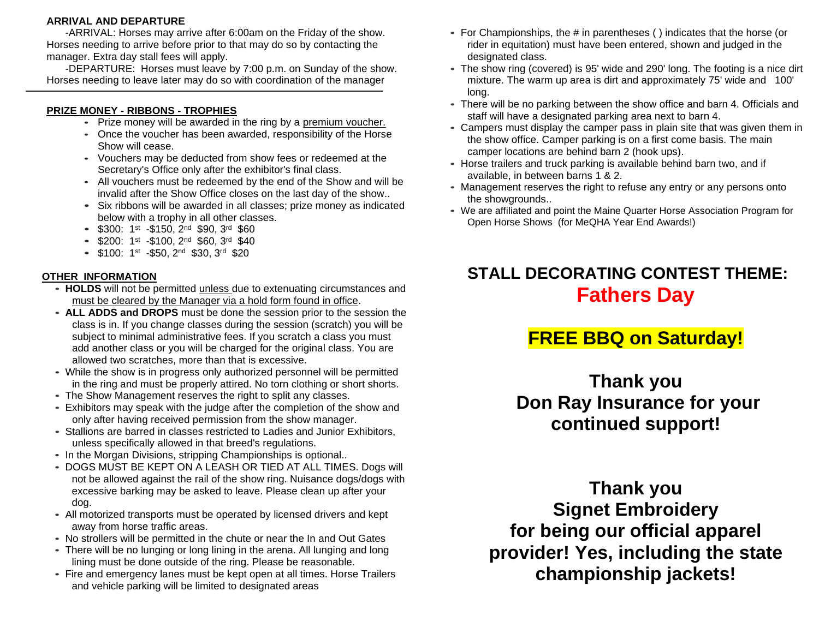#### **ARRIVAL AND DEPARTURE**

-ARRIVAL: Horses may arrive after 6:00am on the Friday of the show. Horses needing to arrive before prior to that may do so by contacting the manager. Extra day stall fees will apply.

-DEPARTURE: Horses must leave by 7:00 p.m. on Sunday of the show. Horses needing to leave later may do so with coordination of the manager

#### **PRIZE MONEY - RIBBONS - TROPHIES**

- Prize money will be awarded in the ring by a premium voucher.
- Once the voucher has been awarded, responsibility of the Horse Show will cease.
- Vouchers may be deducted from show fees or redeemed at the Secretary's Office only after the exhibitor's final class.
- All vouchers must be redeemed by the end of the Show and will be invalid after the Show Office closes on the last day of the show..
- Six ribbons will be awarded in all classes; prize money as indicated below with a trophy in all other classes.
- $\bullet$  \$300: 1<sup>st</sup> -\$150, 2<sup>nd</sup> \$90, 3<sup>rd</sup> \$60
- $\bullet$  \$200: 1st -\$100, 2<sup>nd</sup> \$60, 3<sup>rd</sup> \$40
- $\bullet$  \$100: 1<sup>st</sup> -\$50, 2<sup>nd</sup> \$30, 3<sup>rd</sup> \$20

#### **OTHER INFORMATION**

- **HOLDS** will not be permitted unless due to extenuating circumstances and must be cleared by the Manager via a hold form found in office.
- **ALL ADDS and DROPS** must be done the session prior to the session the class is in. If you change classes during the session (scratch) you will be subject to minimal administrative fees. If you scratch a class you must add another class or you will be charged for the original class. You are allowed two scratches, more than that is excessive.
- While the show is in progress only authorized personnel will be permitted in the ring and must be properly attired. No torn clothing or short shorts.
- The Show Management reserves the right to split any classes.
- Exhibitors may speak with the judge after the completion of the show and only after having received permission from the show manager.
- Stallions are barred in classes restricted to Ladies and Junior Exhibitors, unless specifically allowed in that breed's regulations.
- In the Morgan Divisions, stripping Championships is optional..
- DOGS MUST BE KEPT ON A LEASH OR TIED AT ALL TIMES. Dogs will not be allowed against the rail of the show ring. Nuisance dogs/dogs with excessive barking may be asked to leave. Please clean up after your dog.
- All motorized transports must be operated by licensed drivers and kept away from horse traffic areas.
- No strollers will be permitted in the chute or near the In and Out Gates
- There will be no lunging or long lining in the arena. All lunging and long lining must be done outside of the ring. Please be reasonable.
- Fire and emergency lanes must be kept open at all times. Horse Trailers and vehicle parking will be limited to designated areas
- For Championships, the # in parentheses ( ) indicates that the horse (or rider in equitation) must have been entered, shown and judged in the designated class.
- The show ring (covered) is 95' wide and 290' long. The footing is a nice dirt mixture. The warm up area is dirt and approximately 75' wide and 100' long.
- There will be no parking between the show office and barn 4. Officials and staff will have a designated parking area next to barn 4.
- Campers must display the camper pass in plain site that was given them in the show office. Camper parking is on a first come basis. The main camper locations are behind barn 2 (hook ups).
- Horse trailers and truck parking is available behind barn two, and if available, in between barns 1 & 2.
- Management reserves the right to refuse any entry or any persons onto the showgrounds..
- We are affiliated and point the Maine Quarter Horse Association Program for Open Horse Shows (for MeQHA Year End Awards!)

# **STALL DECORATING CONTEST THEME: Fathers Day**

# **FREE BBQ on Saturday!**

**Thank you Don Ray Insurance for your continued support!**

**Thank you Signet Embroidery for being our official apparel provider! Yes, including the state championship jackets!**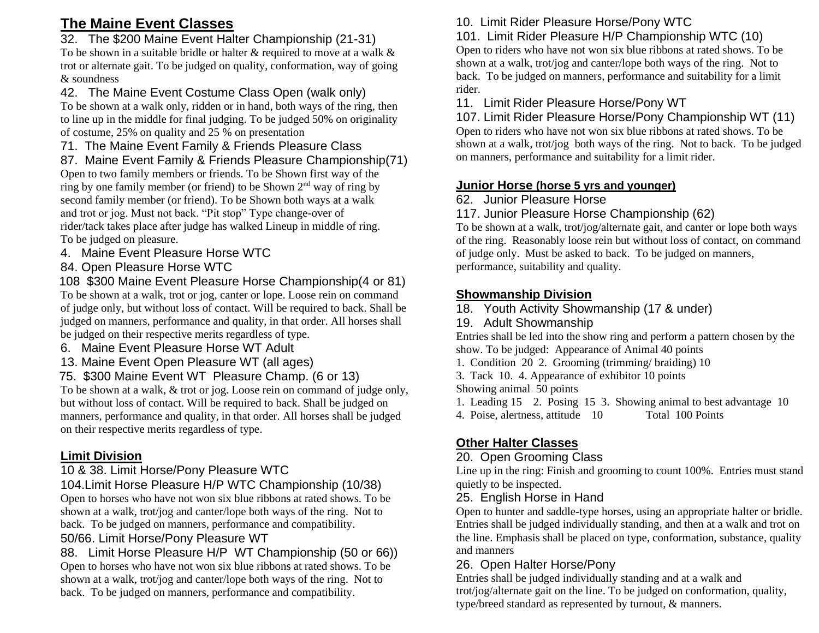## **The Maine Event Classes**

### 32. The \$200 Maine Event Halter Championship (21-31)

To be shown in a suitable bridle or halter & required to move at a walk & trot or alternate gait. To be judged on quality, conformation, way of going & soundness

### 42. The Maine Event Costume Class Open (walk only)

To be shown at a walk only, ridden or in hand, both ways of the ring, then to line up in the middle for final judging. To be judged 50% on originality of costume, 25% on quality and 25 % on presentation

#### 71. The Maine Event Family & Friends Pleasure Class

87. Maine Event Family & Friends Pleasure Championship(71) Open to two family members or friends. To be Shown first way of the ring by one family member (or friend) to be Shown 2nd way of ring by second family member (or friend). To be Shown both ways at a walk and trot or jog. Must not back. "Pit stop" Type change-over of rider/tack takes place after judge has walked Lineup in middle of ring. To be judged on pleasure.

- 4. Maine Event Pleasure Horse WTC
- 84. Open Pleasure Horse WTC
- 108 \$300 Maine Event Pleasure Horse Championship(4 or 81) To be shown at a walk, trot or jog, canter or lope. Loose rein on command of judge only, but without loss of contact. Will be required to back. Shall be judged on manners, performance and quality, in that order. All horses shall be judged on their respective merits regardless of type.
- 6. Maine Event Pleasure Horse WT Adult
- 13. Maine Event Open Pleasure WT (all ages)
- 75. \$300 Maine Event WT Pleasure Champ. (6 or 13)

To be shown at a walk, & trot or jog. Loose rein on command of judge only, but without loss of contact. Will be required to back. Shall be judged on manners, performance and quality, in that order. All horses shall be judged on their respective merits regardless of type.

### **Limit Division**

### 10 & 38. Limit Horse/Pony Pleasure WTC

104.Limit Horse Pleasure H/P WTC Championship (10/38) Open to horses who have not won six blue ribbons at rated shows. To be shown at a walk, trot/jog and canter/lope both ways of the ring. Not to back. To be judged on manners, performance and compatibility. 50/66. Limit Horse/Pony Pleasure WT

88. Limit Horse Pleasure H/P WT Championship (50 or 66)) Open to horses who have not won six blue ribbons at rated shows. To be shown at a walk, trot/jog and canter/lope both ways of the ring. Not to back. To be judged on manners, performance and compatibility.

## 10. Limit Rider Pleasure Horse/Pony WTC

# 101. Limit Rider Pleasure H/P Championship WTC (10)

Open to riders who have not won six blue ribbons at rated shows. To be shown at a walk, trot/jog and canter/lope both ways of the ring. Not to back. To be judged on manners, performance and suitability for a limit rider.

#### 11. Limit Rider Pleasure Horse/Pony WT

107. Limit Rider Pleasure Horse/Pony Championship WT (11) Open to riders who have not won six blue ribbons at rated shows. To be shown at a walk, trot/jog both ways of the ring. Not to back. To be judged on manners, performance and suitability for a limit rider.

### **Junior Horse (horse 5 yrs and younger)**

### 62. Junior Pleasure Horse

### 117. Junior Pleasure Horse Championship (62)

To be shown at a walk, trot/jog/alternate gait, and canter or lope both ways of the ring. Reasonably loose rein but without loss of contact, on command of judge only. Must be asked to back. To be judged on manners, performance, suitability and quality.

### **Showmanship Division**

18. Youth Activity Showmanship (17 & under)

### 19. Adult Showmanship

Entries shall be led into the show ring and perform a pattern chosen by the show. To be judged: Appearance of Animal 40 points

- 1. Condition 20 2. Grooming (trimming/ braiding) 10
- 3. Tack 10. 4. Appearance of exhibitor 10 points
- Showing animal 50 points
- 1. Leading 15 2. Posing 15 3. Showing animal to best advantage 10
- 4. Poise, alertness, attitude 10 Total 100 Points

## **Other Halter Classes**

### 20. Open Grooming Class

Line up in the ring: Finish and grooming to count 100%. Entries must stand quietly to be inspected.

### 25. English Horse in Hand

Open to hunter and saddle-type horses, using an appropriate halter or bridle. Entries shall be judged individually standing, and then at a walk and trot on the line. Emphasis shall be placed on type, conformation, substance, quality and manners

## 26. Open Halter Horse/Pony

Entries shall be judged individually standing and at a walk and trot/jog/alternate gait on the line. To be judged on conformation, quality, type/breed standard as represented by turnout, & manners.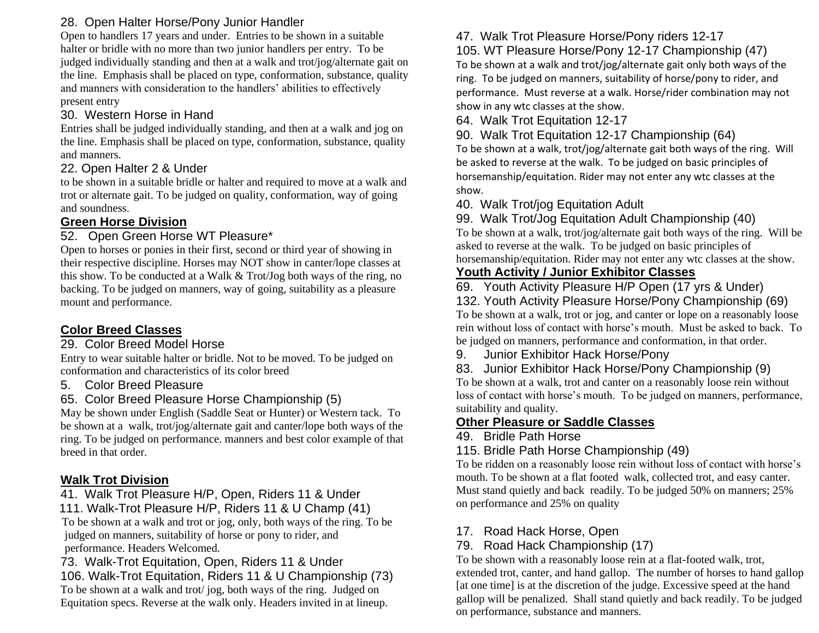#### 28. Open Halter Horse/Pony Junior Handler

Open to handlers 17 years and under. Entries to be shown in a suitable halter or bridle with no more than two junior handlers per entry. To be judged individually standing and then at a walk and trot/jog/alternate gait on the line. Emphasis shall be placed on type, conformation, substance, quality and manners with consideration to the handlers' abilities to effectively present entry

#### 30. Western Horse in Hand

Entries shall be judged individually standing, and then at a walk and jog on the line. Emphasis shall be placed on type, conformation, substance, quality and manners.

#### 22. Open Halter 2 & Under

to be shown in a suitable bridle or halter and required to move at a walk and trot or alternate gait. To be judged on quality, conformation, way of going and soundness.

#### **Green Horse Division**

#### 52. Open Green Horse WT Pleasure\*

Open to horses or ponies in their first, second or third year of showing in their respective discipline. Horses may NOT show in canter/lope classes at this show. To be conducted at a Walk & Trot/Jog both ways of the ring, no backing. To be judged on manners, way of going, suitability as a pleasure mount and performance.

### **Color Breed Classes**

### 29. Color Breed Model Horse

Entry to wear suitable halter or bridle. Not to be moved. To be judged on conformation and characteristics of its color breed

- 5. Color Breed Pleasure
- 65. Color Breed Pleasure Horse Championship (5)

May be shown under English (Saddle Seat or Hunter) or Western tack. To be shown at a walk, trot/jog/alternate gait and canter/lope both ways of the ring. To be judged on performance. manners and best color example of that breed in that order.

### **Walk Trot Division**

41. Walk Trot Pleasure H/P, Open, Riders 11 & Under

111. Walk-Trot Pleasure H/P, Riders 11 & U Champ (41)

 To be shown at a walk and trot or jog, only, both ways of the ring. To be judged on manners, suitability of horse or pony to rider, and performance. Headers Welcomed.

73. Walk-Trot Equitation, Open, Riders 11 & Under 106. Walk-Trot Equitation, Riders 11 & U Championship (73) To be shown at a walk and trot/ jog, both ways of the ring. Judged on Equitation specs. Reverse at the walk only. Headers invited in at lineup.

## 47. Walk Trot Pleasure Horse/Pony riders 12-17

105. WT Pleasure Horse/Pony 12-17 Championship (47) To be shown at a walk and trot/jog/alternate gait only both ways of the ring. To be judged on manners, suitability of horse/pony to rider, and performance. Must reverse at a walk. Horse/rider combination may not show in any wtc classes at the show.

64. Walk Trot Equitation 12-17

90. Walk Trot Equitation 12-17 Championship (64)

To be shown at a walk, trot/jog/alternate gait both ways of the ring. Will be asked to reverse at the walk. To be judged on basic principles of horsemanship/equitation. Rider may not enter any wtc classes at the show.

### 40. Walk Trot/jog Equitation Adult

#### 99. Walk Trot/Jog Equitation Adult Championship (40)

To be shown at a walk, trot/jog/alternate gait both ways of the ring. Will be asked to reverse at the walk. To be judged on basic principles of horsemanship/equitation. Rider may not enter any wtc classes at the show.

## **Youth Activity / Junior Exhibitor Classes**

69. Youth Activity Pleasure H/P Open (17 yrs & Under)

132. Youth Activity Pleasure Horse/Pony Championship (69) To be shown at a walk, trot or jog, and canter or lope on a reasonably loose rein without loss of contact with horse's mouth. Must be asked to back. To be judged on manners, performance and conformation, in that order.

9. Junior Exhibitor Hack Horse/Pony

83. Junior Exhibitor Hack Horse/Pony Championship (9)

To be shown at a walk, trot and canter on a reasonably loose rein without loss of contact with horse's mouth. To be judged on manners, performance, suitability and quality.

### **Other Pleasure or Saddle Classes**

### 49. Bridle Path Horse

### 115. Bridle Path Horse Championship (49)

To be ridden on a reasonably loose rein without loss of contact with horse's mouth. To be shown at a flat footed walk, collected trot, and easy canter. Must stand quietly and back readily. To be judged 50% on manners; 25% on performance and 25% on quality

### 17. Road Hack Horse, Open

79. Road Hack Championship (17)

To be shown with a reasonably loose rein at a flat-footed walk, trot, extended trot, canter, and hand gallop. The number of horses to hand gallop [at one time] is at the discretion of the judge. Excessive speed at the hand gallop will be penalized. Shall stand quietly and back readily. To be judged on performance, substance and manners.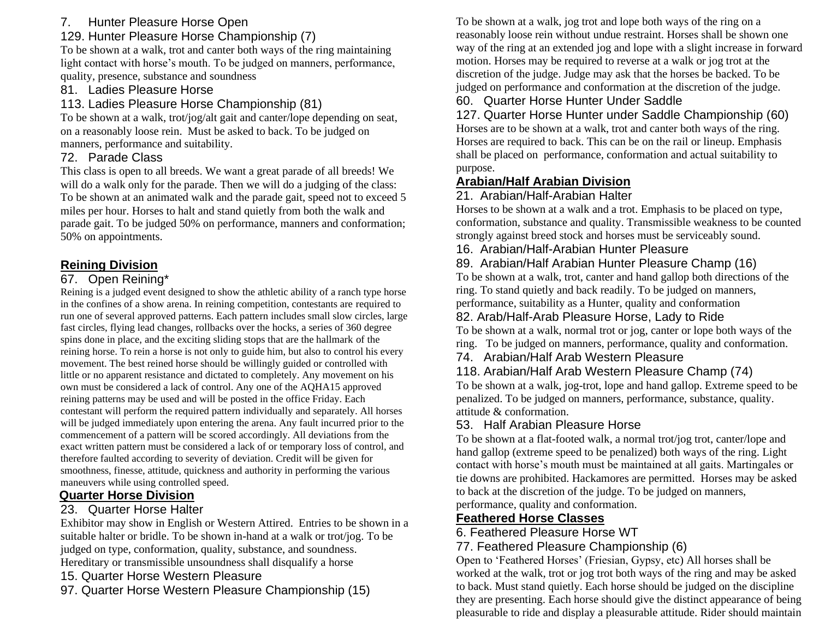## 7. Hunter Pleasure Horse Open

## 129. Hunter Pleasure Horse Championship (7)

To be shown at a walk, trot and canter both ways of the ring maintaining light contact with horse's mouth. To be judged on manners, performance, quality, presence, substance and soundness

### 81. Ladies Pleasure Horse

### 113. Ladies Pleasure Horse Championship (81)

To be shown at a walk, trot/jog/alt gait and canter/lope depending on seat, on a reasonably loose rein. Must be asked to back. To be judged on manners, performance and suitability.

### 72. Parade Class

This class is open to all breeds. We want a great parade of all breeds! We will do a walk only for the parade. Then we will do a judging of the class: To be shown at an animated walk and the parade gait, speed not to exceed 5 miles per hour. Horses to halt and stand quietly from both the walk and parade gait. To be judged 50% on performance, manners and conformation; 50% on appointments.

## **Reining Division**

### 67. Open Reining\*

Reining is a judged event designed to show the athletic ability of a ranch type horse in the confines of a show arena. In reining competition, contestants are required to run one of several approved patterns. Each pattern includes small slow circles, large fast circles, flying lead changes, rollbacks over the hocks, a series of 360 degree spins done in place, and the exciting sliding stops that are the hallmark of the reining horse. To rein a horse is not only to guide him, but also to control his every movement. The best reined horse should be willingly guided or controlled with little or no apparent resistance and dictated to completely. Any movement on his own must be considered a lack of control. Any one of the AQHA15 approved reining patterns may be used and will be posted in the office Friday. Each contestant will perform the required pattern individually and separately. All horses will be judged immediately upon entering the arena. Any fault incurred prior to the commencement of a pattern will be scored accordingly. All deviations from the exact written pattern must be considered a lack of or temporary loss of control, and therefore faulted according to severity of deviation. Credit will be given for smoothness, finesse, attitude, quickness and authority in performing the various maneuvers while using controlled speed.

### **Quarter Horse Division**

### 23. Quarter Horse Halter

Exhibitor may show in English or Western Attired. Entries to be shown in a suitable halter or bridle. To be shown in-hand at a walk or trot/jog. To be judged on type, conformation, quality, substance, and soundness. Hereditary or transmissible unsoundness shall disqualify a horse

- 15. Quarter Horse Western Pleasure
- 97. Quarter Horse Western Pleasure Championship (15)

To be shown at a walk, jog trot and lope both ways of the ring on a reasonably loose rein without undue restraint. Horses shall be shown one way of the ring at an extended jog and lope with a slight increase in forward motion. Horses may be required to reverse at a walk or jog trot at the discretion of the judge. Judge may ask that the horses be backed. To be judged on performance and conformation at the discretion of the judge.

### 60. Quarter Horse Hunter Under Saddle

127. Quarter Horse Hunter under Saddle Championship (60) Horses are to be shown at a walk, trot and canter both ways of the ring. Horses are required to back. This can be on the rail or lineup. Emphasis shall be placed on performance, conformation and actual suitability to purpose.

## **Arabian/Half Arabian Division**

### 21. Arabian/Half-Arabian Halter

Horses to be shown at a walk and a trot. Emphasis to be placed on type, conformation, substance and quality. Transmissible weakness to be counted strongly against breed stock and horses must be serviceably sound.

16. Arabian/Half-Arabian Hunter Pleasure

### 89. Arabian/Half Arabian Hunter Pleasure Champ (16)

To be shown at a walk, trot, canter and hand gallop both directions of the ring. To stand quietly and back readily. To be judged on manners, performance, suitability as a Hunter, quality and conformation

### 82. Arab/Half-Arab Pleasure Horse, Lady to Ride

To be shown at a walk, normal trot or jog, canter or lope both ways of the ring. To be judged on manners, performance, quality and conformation.

74. Arabian/Half Arab Western Pleasure

### 118. Arabian/Half Arab Western Pleasure Champ (74)

To be shown at a walk, jog-trot, lope and hand gallop. Extreme speed to be penalized. To be judged on manners, performance, substance, quality. attitude & conformation.

### 53. Half Arabian Pleasure Horse

To be shown at a flat-footed walk, a normal trot/jog trot, canter/lope and hand gallop (extreme speed to be penalized) both ways of the ring. Light contact with horse's mouth must be maintained at all gaits. Martingales or tie downs are prohibited. Hackamores are permitted. Horses may be asked to back at the discretion of the judge. To be judged on manners, performance, quality and conformation.

### **Feathered Horse Classes**

### 6. Feathered Pleasure Horse WT

## 77. Feathered Pleasure Championship (6)

Open to 'Feathered Horses' (Friesian, Gypsy, etc) All horses shall be worked at the walk, trot or jog trot both ways of the ring and may be asked to back. Must stand quietly. Each horse should be judged on the discipline they are presenting. Each horse should give the distinct appearance of being pleasurable to ride and display a pleasurable attitude. Rider should maintain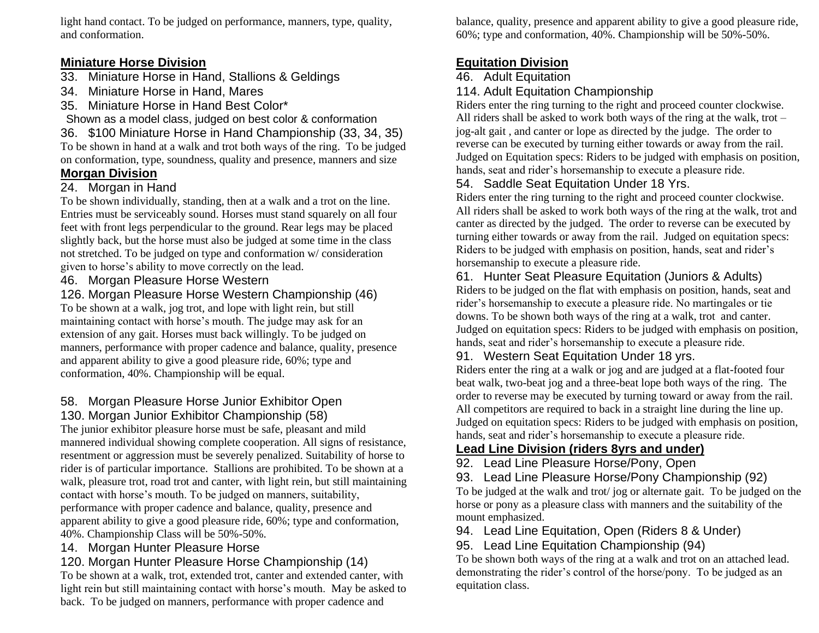light hand contact. To be judged on performance, manners, type, quality, and conformation.

#### **Miniature Horse Division**

- 33. Miniature Horse in Hand, Stallions & Geldings
- 34. Miniature Horse in Hand, Mares
- 35. Miniature Horse in Hand Best Color\*
- Shown as a model class, judged on best color & conformation

36. \$100 Miniature Horse in Hand Championship (33, 34, 35) To be shown in hand at a walk and trot both ways of the ring. To be judged on conformation, type, soundness, quality and presence, manners and size

### **Morgan Division**

#### 24. Morgan in Hand

To be shown individually, standing, then at a walk and a trot on the line. Entries must be serviceably sound. Horses must stand squarely on all four feet with front legs perpendicular to the ground. Rear legs may be placed slightly back, but the horse must also be judged at some time in the class not stretched. To be judged on type and conformation w/ consideration given to horse's ability to move correctly on the lead.

#### 46. Morgan Pleasure Horse Western

126. Morgan Pleasure Horse Western Championship (46)

To be shown at a walk, jog trot, and lope with light rein, but still maintaining contact with horse's mouth. The judge may ask for an extension of any gait. Horses must back willingly. To be judged on manners, performance with proper cadence and balance, quality, presence and apparent ability to give a good pleasure ride, 60%; type and conformation, 40%. Championship will be equal.

#### 58. Morgan Pleasure Horse Junior Exhibitor Open 130. Morgan Junior Exhibitor Championship (58)

The junior exhibitor pleasure horse must be safe, pleasant and mild mannered individual showing complete cooperation. All signs of resistance, resentment or aggression must be severely penalized. Suitability of horse to rider is of particular importance. Stallions are prohibited. To be shown at a walk, pleasure trot, road trot and canter, with light rein, but still maintaining contact with horse's mouth. To be judged on manners, suitability, performance with proper cadence and balance, quality, presence and apparent ability to give a good pleasure ride, 60%; type and conformation, 40%. Championship Class will be 50%-50%.

#### 14. Morgan Hunter Pleasure Horse

### 120. Morgan Hunter Pleasure Horse Championship (14)

To be shown at a walk, trot, extended trot, canter and extended canter, with light rein but still maintaining contact with horse's mouth. May be asked to back. To be judged on manners, performance with proper cadence and

balance, quality, presence and apparent ability to give a good pleasure ride, 60%; type and conformation, 40%. Championship will be 50%-50%.

## **Equitation Division**

#### 46. Adult Equitation

#### 114. Adult Equitation Championship

Riders enter the ring turning to the right and proceed counter clockwise. All riders shall be asked to work both ways of the ring at the walk, trot – jog-alt gait , and canter or lope as directed by the judge. The order to reverse can be executed by turning either towards or away from the rail. Judged on Equitation specs: Riders to be judged with emphasis on position, hands, seat and rider's horsemanship to execute a pleasure ride.

### 54. Saddle Seat Equitation Under 18 Yrs.

Riders enter the ring turning to the right and proceed counter clockwise. All riders shall be asked to work both ways of the ring at the walk, trot and canter as directed by the judged. The order to reverse can be executed by turning either towards or away from the rail. Judged on equitation specs: Riders to be judged with emphasis on position, hands, seat and rider's horsemanship to execute a pleasure ride.

#### 61. Hunter Seat Pleasure Equitation (Juniors & Adults)

Riders to be judged on the flat with emphasis on position, hands, seat and rider's horsemanship to execute a pleasure ride. No martingales or tie downs. To be shown both ways of the ring at a walk, trot and canter. Judged on equitation specs: Riders to be judged with emphasis on position, hands, seat and rider's horsemanship to execute a pleasure ride.

#### 91. Western Seat Equitation Under 18 yrs.

Riders enter the ring at a walk or jog and are judged at a flat-footed four beat walk, two-beat jog and a three-beat lope both ways of the ring. The order to reverse may be executed by turning toward or away from the rail. All competitors are required to back in a straight line during the line up. Judged on equitation specs: Riders to be judged with emphasis on position, hands, seat and rider's horsemanship to execute a pleasure ride.

## **Lead Line Division (riders 8yrs and under)**

92. Lead Line Pleasure Horse/Pony, Open

93. Lead Line Pleasure Horse/Pony Championship (92) To be judged at the walk and trot/ jog or alternate gait. To be judged on the horse or pony as a pleasure class with manners and the suitability of the mount emphasized.

94. Lead Line Equitation, Open (Riders 8 & Under)

95. Lead Line Equitation Championship (94)

To be shown both ways of the ring at a walk and trot on an attached lead. demonstrating the rider's control of the horse/pony. To be judged as an equitation class.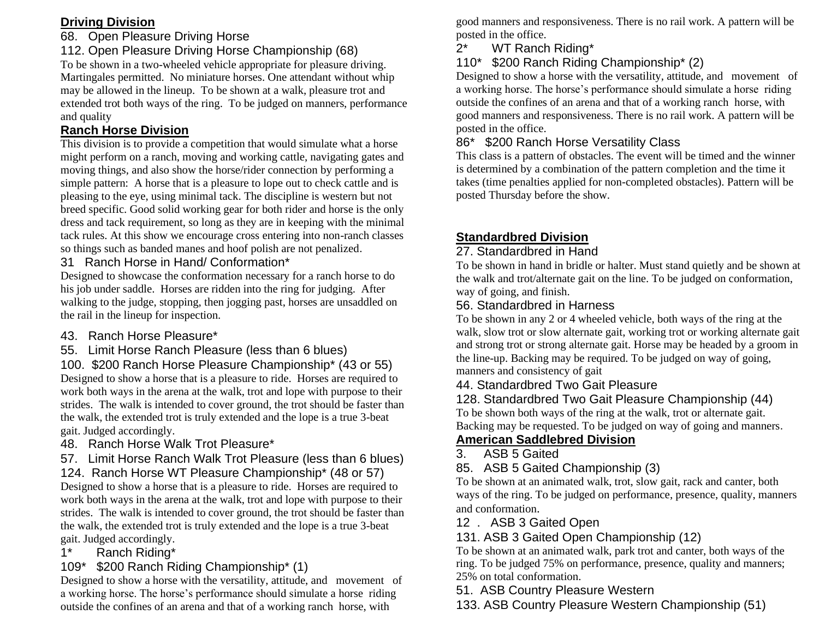### **Driving Division**

#### 68. Open Pleasure Driving Horse

#### 112. Open Pleasure Driving Horse Championship (68)

To be shown in a two-wheeled vehicle appropriate for pleasure driving. Martingales permitted. No miniature horses. One attendant without whip may be allowed in the lineup. To be shown at a walk, pleasure trot and extended trot both ways of the ring. To be judged on manners, performance and quality

#### **Ranch Horse Division**

This division is to provide a competition that would simulate what a horse might perform on a ranch, moving and working cattle, navigating gates and moving things, and also show the horse/rider connection by performing a simple pattern: A horse that is a pleasure to lope out to check cattle and is pleasing to the eye, using minimal tack. The discipline is western but not breed specific. Good solid working gear for both rider and horse is the only dress and tack requirement, so long as they are in keeping with the minimal tack rules. At this show we encourage cross entering into non-ranch classes so things such as banded manes and hoof polish are not penalized.

31 Ranch Horse in Hand/ Conformation\*

Designed to showcase the conformation necessary for a ranch horse to do his job under saddle. Horses are ridden into the ring for judging. After walking to the judge, stopping, then jogging past, horses are unsaddled on the rail in the lineup for inspection.

- 43. Ranch Horse Pleasure\*
- 55. Limit Horse Ranch Pleasure (less than 6 blues)

100. \$200 Ranch Horse Pleasure Championship\* (43 or 55) Designed to show a horse that is a pleasure to ride. Horses are required to work both ways in the arena at the walk, trot and lope with purpose to their strides. The walk is intended to cover ground, the trot should be faster than the walk, the extended trot is truly extended and the lope is a true 3-beat

gait. Judged accordingly. 48. Ranch Horse Walk Trot Pleasure\*

57. Limit Horse Ranch Walk Trot Pleasure (less than 6 blues)

124. Ranch Horse WT Pleasure Championship\* (48 or 57) Designed to show a horse that is a pleasure to ride. Horses are required to work both ways in the arena at the walk, trot and lope with purpose to their strides. The walk is intended to cover ground, the trot should be faster than the walk, the extended trot is truly extended and the lope is a true 3-beat gait. Judged accordingly.

1\* Ranch Riding\*

### 109\* \$200 Ranch Riding Championship\* (1)

Designed to show a horse with the versatility, attitude, and movement of a working horse. The horse's performance should simulate a horse riding outside the confines of an arena and that of a working ranch horse, with

good manners and responsiveness. There is no rail work. A pattern will be posted in the office.

### 2\* WT Ranch Riding\*

#### 110\* \$200 Ranch Riding Championship\* (2)

Designed to show a horse with the versatility, attitude, and movement of a working horse. The horse's performance should simulate a horse riding outside the confines of an arena and that of a working ranch horse, with good manners and responsiveness. There is no rail work. A pattern will be posted in the office.

86\* \$200 Ranch Horse Versatility Class

This class is a pattern of obstacles. The event will be timed and the winner is determined by a combination of the pattern completion and the time it takes (time penalties applied for non-completed obstacles). Pattern will be posted Thursday before the show.

### **Standardbred Division**

#### 27. Standardbred in Hand

To be shown in hand in bridle or halter. Must stand quietly and be shown at the walk and trot/alternate gait on the line. To be judged on conformation, way of going, and finish.

#### 56. Standardbred in Harness

To be shown in any 2 or 4 wheeled vehicle, both ways of the ring at the walk, slow trot or slow alternate gait, working trot or working alternate gait and strong trot or strong alternate gait. Horse may be headed by a groom in the line-up. Backing may be required. To be judged on way of going, manners and consistency of gait

### 44. Standardbred Two Gait Pleasure

128. Standardbred Two Gait Pleasure Championship (44) To be shown both ways of the ring at the walk, trot or alternate gait.

#### Backing may be requested. To be judged on way of going and manners. **American Saddlebred Division**

### 3. ASB 5 Gaited

#### 85. ASB 5 Gaited Championship (3)

To be shown at an animated walk, trot, slow gait, rack and canter, both ways of the ring. To be judged on performance, presence, quality, manners and conformation.

### 12 . ASB 3 Gaited Open

131. ASB 3 Gaited Open Championship (12)

To be shown at an animated walk, park trot and canter, both ways of the ring. To be judged 75% on performance, presence, quality and manners; 25% on total conformation.

51. ASB Country Pleasure Western

133. ASB Country Pleasure Western Championship (51)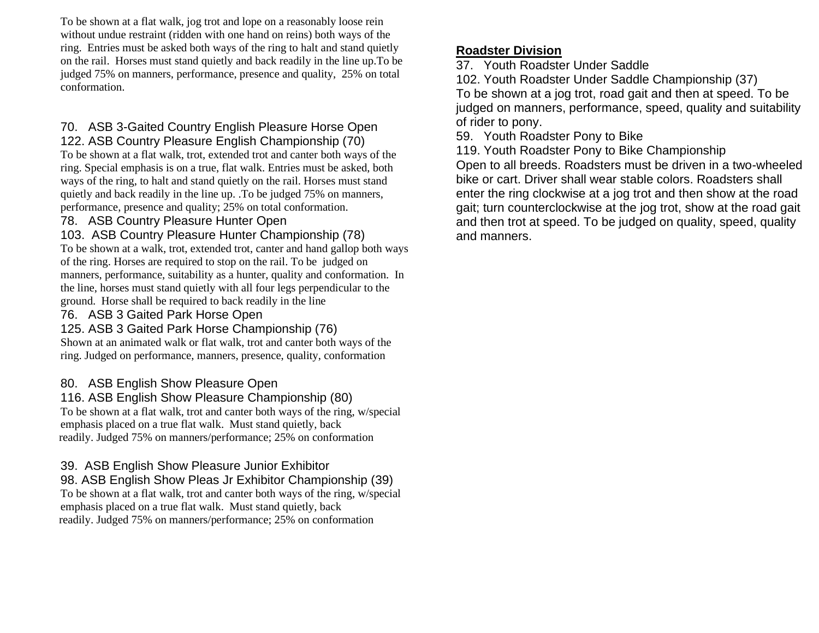To be shown at a flat walk, jog trot and lope on a reasonably loose rein without undue restraint (ridden with one hand on reins) both ways of the ring. Entries must be asked both ways of the ring to halt and stand quietly on the rail. Horses must stand quietly and back readily in the line up.To be judged 75% on manners, performance, presence and quality, 25% on total conformation.

#### 70. ASB 3-Gaited Country English Pleasure Horse Open 122. ASB Country Pleasure English Championship (70)

To be shown at a flat walk, trot, extended trot and canter both ways of the ring. Special emphasis is on a true, flat walk. Entries must be asked, both ways of the ring, to halt and stand quietly on the rail. Horses must stand quietly and back readily in the line up. .To be judged 75% on manners, performance, presence and quality; 25% on total conformation.

#### 78. ASB Country Pleasure Hunter Open

103. ASB Country Pleasure Hunter Championship (78) To be shown at a walk, trot, extended trot, canter and hand gallop both ways of the ring. Horses are required to stop on the rail. To be judged on manners, performance, suitability as a hunter, quality and conformation. In the line, horses must stand quietly with all four legs perpendicular to the ground. Horse shall be required to back readily in the line

#### 76. ASB 3 Gaited Park Horse Open

#### 125. ASB 3 Gaited Park Horse Championship (76)

Shown at an animated walk or flat walk, trot and canter both ways of the ring. Judged on performance, manners, presence, quality, conformation

#### 80. ASB English Show Pleasure Open

116. ASB English Show Pleasure Championship (80) To be shown at a flat walk, trot and canter both ways of the ring, w/special emphasis placed on a true flat walk. Must stand quietly, back readily. Judged 75% on manners/performance; 25% on conformation

#### 39. ASB English Show Pleasure Junior Exhibitor

98. ASB English Show Pleas Jr Exhibitor Championship (39) To be shown at a flat walk, trot and canter both ways of the ring, w/special emphasis placed on a true flat walk. Must stand quietly, back readily. Judged 75% on manners/performance; 25% on conformation

#### **Roadster Division**

37. Youth Roadster Under Saddle

102. Youth Roadster Under Saddle Championship (37) To be shown at a jog trot, road gait and then at speed. To be judged on manners, performance, speed, quality and suitability of rider to pony.

59. Youth Roadster Pony to Bike

119. Youth Roadster Pony to Bike Championship Open to all breeds. Roadsters must be driven in a two-wheeled bike or cart. Driver shall wear stable colors. Roadsters shall enter the ring clockwise at a jog trot and then show at the road gait; turn counterclockwise at the jog trot, show at the road gait and then trot at speed. To be judged on quality, speed, quality and manners.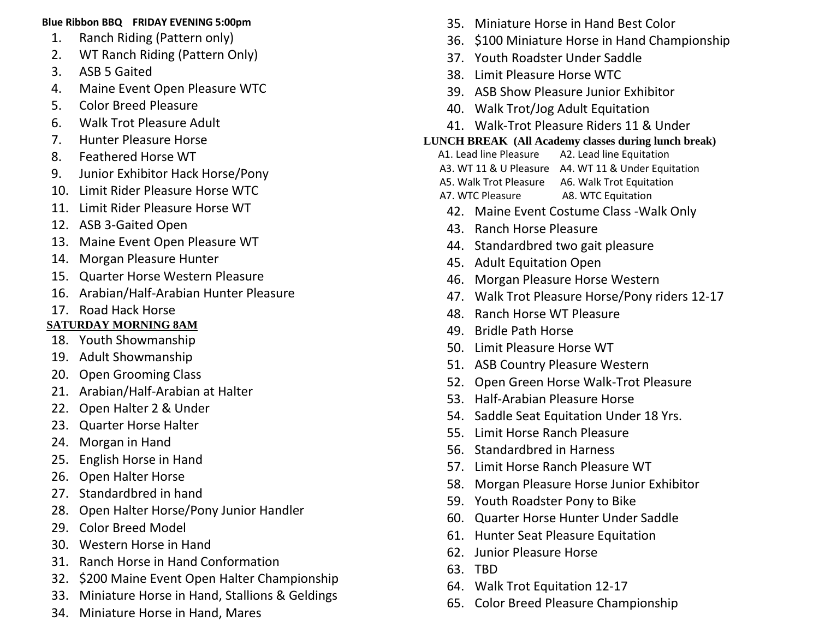#### **Blue Ribbon BBQ FRIDAY EVENING 5:00pm**

- 1. Ranch Riding (Pattern only)
- 2. WT Ranch Riding (Pattern Only)
- 3. ASB 5 Gaited
- 4. Maine Event Open Pleasure WTC
- 5. Color Breed Pleasure
- 6. Walk Trot Pleasure Adult
- 7. Hunter Pleasure Horse
- 8. Feathered Horse WT
- 9. Junior Exhibitor Hack Horse/Pony
- 10. Limit Rider Pleasure Horse WTC
- 11. Limit Rider Pleasure Horse WT
- 12. ASB 3-Gaited Open
- 13. Maine Event Open Pleasure WT
- 14. Morgan Pleasure Hunter
- 15. Quarter Horse Western Pleasure
- 16. Arabian/Half-Arabian Hunter Pleasure
- 17. Road Hack Horse

## **SATURDAY MORNING 8AM**

- 18. Youth Showmanship
- 19. Adult Showmanship
- 20. Open Grooming Class
- 21. Arabian/Half-Arabian at Halter
- 22. Open Halter 2 & Under
- 23. Quarter Horse Halter
- 24. Morgan in Hand
- 25. English Horse in Hand
- 26. Open Halter Horse
- 27. Standardbred in hand
- 28. Open Halter Horse/Pony Junior Handler
- 29. Color Breed Model
- 30. Western Horse in Hand
- 31. Ranch Horse in Hand Conformation
- 32. \$200 Maine Event Open Halter Championship
- 33. Miniature Horse in Hand, Stallions & Geldings
- 34. Miniature Horse in Hand, Mares
- 35. Miniature Horse in Hand Best Color
- 36. \$100 Miniature Horse in Hand Championship
- 37. Youth Roadster Under Saddle
- 38. Limit Pleasure Horse WTC
- 39. ASB Show Pleasure Junior Exhibitor
- 40. Walk Trot/Jog Adult Equitation
- 41. Walk-Trot Pleasure Riders 11 & Under

### **LUNCH BREAK (All Academy classes during lunch break)**

- A1. Lead line Pleasure A2. Lead line Equitation
- A3. WT 11 & U Pleasure A4. WT 11 & Under Equitation
- A5. Walk Trot Pleasure A6. Walk Trot Equitation
- A7. WTC Pleasure A8. WTC Equitation
- 42. Maine Event Costume Class -Walk Only
- 43. Ranch Horse Pleasure
- 44. Standardbred two gait pleasure
- 45. Adult Equitation Open
- 46. Morgan Pleasure Horse Western
- 47. Walk Trot Pleasure Horse/Pony riders 12-17
- 48. Ranch Horse WT Pleasure
- 49. Bridle Path Horse
- 50. Limit Pleasure Horse WT
- 51. ASB Country Pleasure Western
- 52. Open Green Horse Walk-Trot Pleasure
- 53. Half-Arabian Pleasure Horse
- 54. Saddle Seat Equitation Under 18 Yrs.
- 55. Limit Horse Ranch Pleasure
- 56. Standardbred in Harness
- 57. Limit Horse Ranch Pleasure WT
- 58. Morgan Pleasure Horse Junior Exhibitor
- 59. Youth Roadster Pony to Bike
- 60. Quarter Horse Hunter Under Saddle
- 61. Hunter Seat Pleasure Equitation
- 62. Junior Pleasure Horse
- 63. TBD
- 64. Walk Trot Equitation 12-17
- 65. Color Breed Pleasure Championship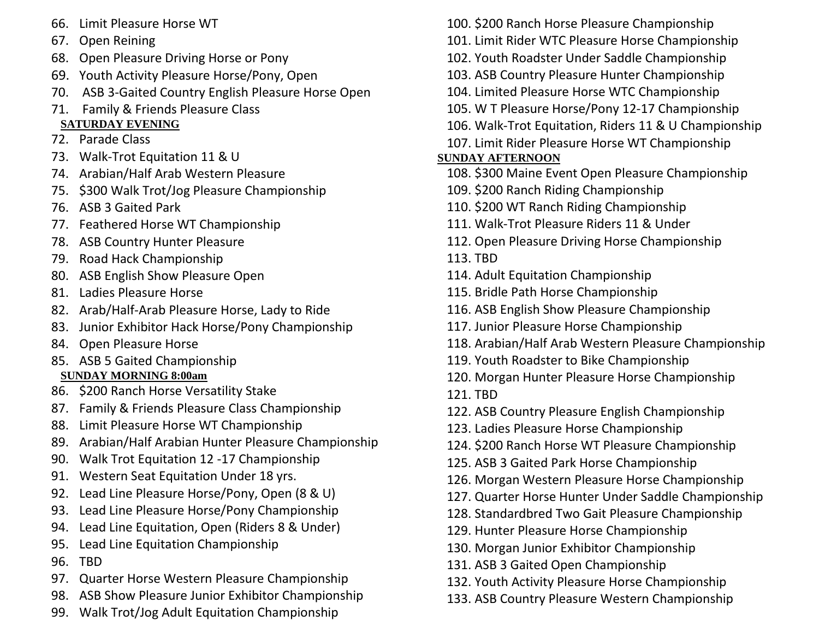- 66. Limit Pleasure Horse WT
- 67. Open Reining
- 68. Open Pleasure Driving Horse or Pony
- 69. Youth Activity Pleasure Horse/Pony, Open
- 70. ASB 3-Gaited Country English Pleasure Horse Open
- 71. Family & Friends Pleasure Class
- **SATURDAY EVENING**
- 72. Parade Class
- 73. Walk-Trot Equitation 11 & U
- 74. Arabian/Half Arab Western Pleasure
- 75. \$300 Walk Trot/Jog Pleasure Championship
- 76. ASB 3 Gaited Park
- 77. Feathered Horse WT Championship
- 78. ASB Country Hunter Pleasure
- 79. Road Hack Championship
- 80. ASB English Show Pleasure Open
- 81. Ladies Pleasure Horse
- 82. Arab/Half-Arab Pleasure Horse, Lady to Ride
- 83. Junior Exhibitor Hack Horse/Pony Championship
- 84. Open Pleasure Horse
- 85. ASB 5 Gaited Championship
- **SUNDAY MORNING 8:00am**
- 86. \$200 Ranch Horse Versatility Stake
- 87. Family & Friends Pleasure Class Championship
- 88. Limit Pleasure Horse WT Championship
- 89. Arabian/Half Arabian Hunter Pleasure Championship
- 90. Walk Trot Equitation 12 -17 Championship
- 91. Western Seat Equitation Under 18 yrs.
- 92. Lead Line Pleasure Horse/Pony, Open (8 & U)
- 93. Lead Line Pleasure Horse/Pony Championship
- 94. Lead Line Equitation, Open (Riders 8 & Under)
- 95. Lead Line Equitation Championship
- 96. TBD
- 97. Quarter Horse Western Pleasure Championship
- 98. ASB Show Pleasure Junior Exhibitor Championship
- 99. Walk Trot/Jog Adult Equitation Championship
- 100. \$200 Ranch Horse Pleasure Championship
- 101. Limit Rider WTC Pleasure Horse Championship
- 102. Youth Roadster Under Saddle Championship
- 103. ASB Country Pleasure Hunter Championship
- 104. Limited Pleasure Horse WTC Championship
- 105. W T Pleasure Horse/Pony 12-17 Championship
- 106. Walk-Trot Equitation, Riders 11 & U Championship
- 107. Limit Rider Pleasure Horse WT Championship

# **SUNDAY AFTERNOON**

- 108. \$300 Maine Event Open Pleasure Championship
- 109. \$200 Ranch Riding Championship
- 110. \$200 WT Ranch Riding Championship
- 111. Walk-Trot Pleasure Riders 11 & Under
- 112. Open Pleasure Driving Horse Championship

113. TBD

- 114. Adult Equitation Championship
- 115. Bridle Path Horse Championship
- 116. ASB English Show Pleasure Championship
- 117. Junior Pleasure Horse Championship
- 118. Arabian/Half Arab Western Pleasure Championship
- 119. Youth Roadster to Bike Championship
- 120. Morgan Hunter Pleasure Horse Championship
- 121. TBD
- 122. ASB Country Pleasure English Championship
- 123. Ladies Pleasure Horse Championship
- 124. \$200 Ranch Horse WT Pleasure Championship
- 125. ASB 3 Gaited Park Horse Championship
- 126. Morgan Western Pleasure Horse Championship
- 127. Quarter Horse Hunter Under Saddle Championship
- 128. Standardbred Two Gait Pleasure Championship
- 129. Hunter Pleasure Horse Championship
- 130. Morgan Junior Exhibitor Championship
- 131. ASB 3 Gaited Open Championship
- 132. Youth Activity Pleasure Horse Championship
- 133. ASB Country Pleasure Western Championship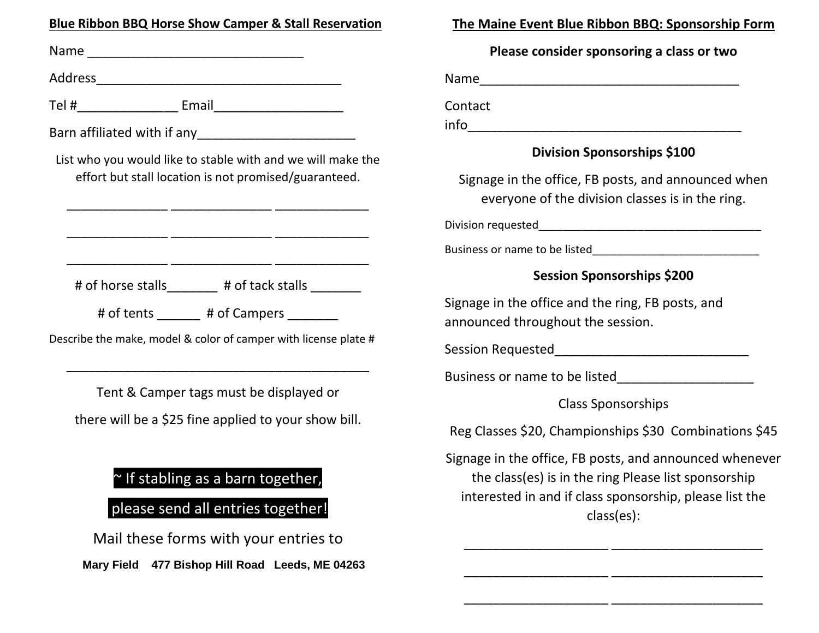#### **Blue Ribbon BBQ Horse Show Camper & Stall Reservation**

Name \_\_\_\_\_\_\_\_\_\_\_\_\_\_\_\_\_\_\_\_\_\_\_\_\_\_\_\_\_\_ Address\_\_\_\_\_\_\_\_\_\_\_\_\_\_\_\_\_\_\_\_\_\_\_\_\_\_\_\_\_\_\_\_\_\_ Tel #\_\_\_\_\_\_\_\_\_\_\_\_\_\_ Email\_\_\_\_\_\_\_\_\_\_\_\_\_\_\_\_\_\_ Barn affiliated with if any List who you would like to stable with and we will make the effort but stall location is not promised/guaranteed. \_\_\_\_\_\_\_\_\_\_\_\_\_\_ \_\_\_\_\_\_\_\_\_\_\_\_\_\_ \_\_\_\_\_\_\_\_\_\_\_\_\_ \_\_\_\_\_\_\_\_\_\_\_\_\_\_ \_\_\_\_\_\_\_\_\_\_\_\_\_\_ \_\_\_\_\_\_\_\_\_\_\_\_\_ \_\_\_\_\_\_\_\_\_\_\_\_\_\_ \_\_\_\_\_\_\_\_\_\_\_\_\_\_ \_\_\_\_\_\_\_\_\_\_\_\_\_ # of horse stalls # of tack stalls # of tents  $\qquad$  # of Campers Describe the make, model & color of camper with license plate # \_\_\_\_\_\_\_\_\_\_\_\_\_\_\_\_\_\_\_\_\_\_\_\_\_\_\_\_\_\_\_\_\_\_\_\_\_\_\_\_\_\_ Tent & Camper tags must be displayed or there will be a \$25 fine applied to your show bill.

## ~ If stabling as a barn together,

## please send all entries together!

Mail these forms with your entries to **Mary Field 477 Bishop Hill Road Leeds, ME 04263**

### **The Maine Event Blue Ribbon BBQ: Sponsorship Form**

#### **Please consider sponsoring a class or two**

Name\_\_\_\_\_\_\_\_\_\_\_\_\_\_\_\_\_\_\_\_\_\_\_\_\_\_\_\_\_\_\_\_\_\_\_\_

Contact

 $info$ 

#### **Division Sponsorships \$100**

Signage in the office, FB posts, and announced when everyone of the division classes is in the ring.

Division requested

Business or name to be listed

### **Session Sponsorships \$200**

Signage in the office and the ring, FB posts, and announced throughout the session.

Session Requested

Business or name to be listed

Class Sponsorships

Reg Classes \$20, Championships \$30 Combinations \$45

Signage in the office, FB posts, and announced whenever the class(es) is in the ring Please list sponsorship interested in and if class sponsorship, please list the class(es):

\_\_\_\_\_\_\_\_\_\_\_\_\_\_\_\_\_\_\_\_ \_\_\_\_\_\_\_\_\_\_\_\_\_\_\_\_\_\_\_\_\_

\_\_\_\_\_\_\_\_\_\_\_\_\_\_\_\_\_\_\_\_ \_\_\_\_\_\_\_\_\_\_\_\_\_\_\_\_\_\_\_\_\_

\_\_\_\_\_\_\_\_\_\_\_\_\_\_\_\_\_\_\_\_ \_\_\_\_\_\_\_\_\_\_\_\_\_\_\_\_\_\_\_\_\_